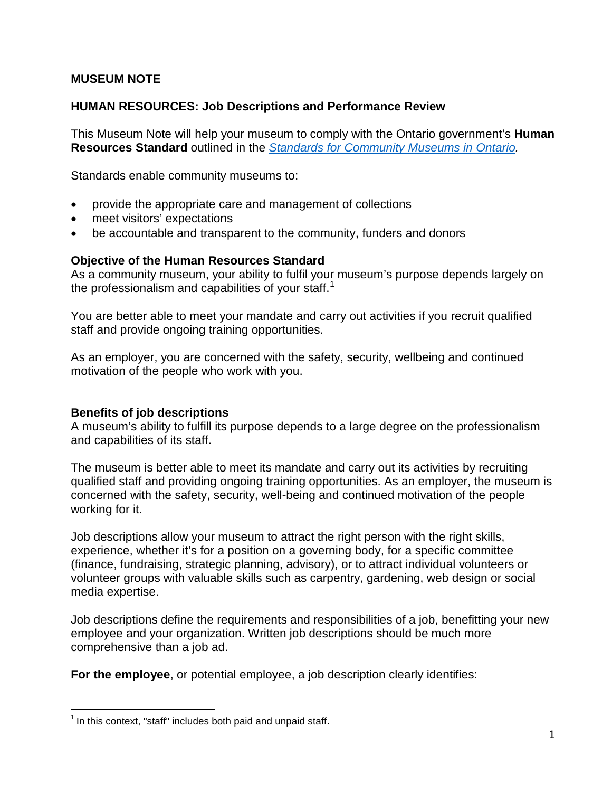### **MUSEUM NOTE**

### **HUMAN RESOURCES: Job Descriptions and Performance Review**

This Museum Note will help your museum to comply with the Ontario government's **Human Resources Standard** outlined in the *[Standards for Community Museums in Ontario.](http://www.mtc.gov.on.ca/en/museums/museums_standards.shtml)*

Standards enable community museums to:

- provide the appropriate care and management of collections
- meet visitors' expectations
- be accountable and transparent to the community, funders and donors

### **Objective of the Human Resources Standard**

As a community museum, your ability to fulfil your museum's purpose depends largely on the professionalism and capabilities of your staff.<sup>[1](#page-0-0)</sup>

You are better able to meet your mandate and carry out activities if you recruit qualified staff and provide ongoing training opportunities.

As an employer, you are concerned with the safety, security, wellbeing and continued motivation of the people who work with you.

#### **Benefits of job descriptions**

A museum's ability to fulfill its purpose depends to a large degree on the professionalism and capabilities of its staff.

The museum is better able to meet its mandate and carry out its activities by recruiting qualified staff and providing ongoing training opportunities. As an employer, the museum is concerned with the safety, security, well-being and continued motivation of the people working for it.

Job descriptions allow your museum to attract the right person with the right skills, experience, whether it's for a position on a governing body, for a specific committee (finance, fundraising, strategic planning, advisory), or to attract individual volunteers or volunteer groups with valuable skills such as carpentry, gardening, web design or social media expertise.

Job descriptions define the requirements and responsibilities of a job, benefitting your new employee and your organization. Written job descriptions should be much more comprehensive than a job ad.

**For the employee**, or potential employee, a job description clearly identifies:

 $\overline{a}$ 

<span id="page-0-0"></span> $1$  In this context, "staff" includes both paid and unpaid staff.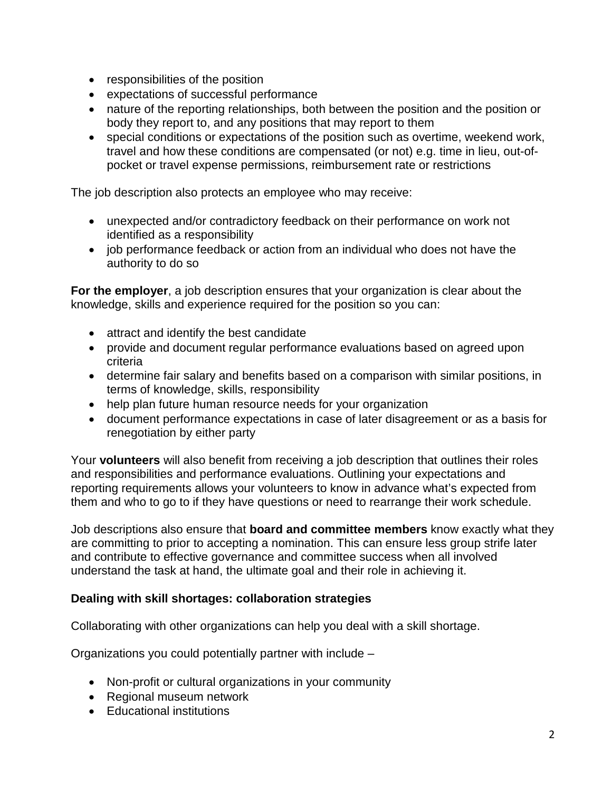- responsibilities of the position
- expectations of successful performance
- nature of the reporting relationships, both between the position and the position or body they report to, and any positions that may report to them
- special conditions or expectations of the position such as overtime, weekend work, travel and how these conditions are compensated (or not) e.g. time in lieu, out-ofpocket or travel expense permissions, reimbursement rate or restrictions

The job description also protects an employee who may receive:

- unexpected and/or contradictory feedback on their performance on work not identified as a responsibility
- job performance feedback or action from an individual who does not have the authority to do so

**For the employer**, a job description ensures that your organization is clear about the knowledge, skills and experience required for the position so you can:

- attract and identify the best candidate
- provide and document regular performance evaluations based on agreed upon criteria
- determine fair salary and benefits based on a comparison with similar positions, in terms of knowledge, skills, responsibility
- help plan future human resource needs for your organization
- document performance expectations in case of later disagreement or as a basis for renegotiation by either party

Your **volunteers** will also benefit from receiving a job description that outlines their roles and responsibilities and performance evaluations. Outlining your expectations and reporting requirements allows your volunteers to know in advance what's expected from them and who to go to if they have questions or need to rearrange their work schedule.

Job descriptions also ensure that **board and committee members** know exactly what they are committing to prior to accepting a nomination. This can ensure less group strife later and contribute to effective governance and committee success when all involved understand the task at hand, the ultimate goal and their role in achieving it.

## **Dealing with skill shortages: collaboration strategies**

Collaborating with other organizations can help you deal with a skill shortage.

Organizations you could potentially partner with include –

- Non-profit or cultural organizations in your community
- Regional museum network
- Educational institutions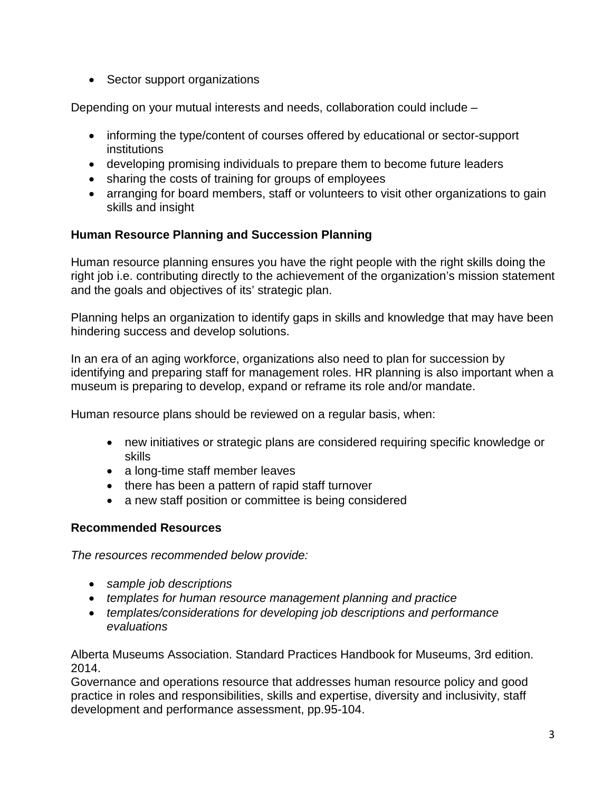• Sector support organizations

Depending on your mutual interests and needs, collaboration could include –

- informing the type/content of courses offered by educational or sector-support institutions
- developing promising individuals to prepare them to become future leaders
- sharing the costs of training for groups of employees
- arranging for board members, staff or volunteers to visit other organizations to gain skills and insight

# **Human Resource Planning and Succession Planning**

Human resource planning ensures you have the right people with the right skills doing the right job i.e. contributing directly to the achievement of the organization's mission statement and the goals and objectives of its' strategic plan.

Planning helps an organization to identify gaps in skills and knowledge that may have been hindering success and develop solutions.

In an era of an aging workforce, organizations also need to plan for succession by identifying and preparing staff for management roles. HR planning is also important when a museum is preparing to develop, expand or reframe its role and/or mandate.

Human resource plans should be reviewed on a regular basis, when:

- new initiatives or strategic plans are considered requiring specific knowledge or skills
- a long-time staff member leaves
- there has been a pattern of rapid staff turnover
- a new staff position or committee is being considered

## **Recommended Resources**

*The resources recommended below provide:*

- *sample job descriptions*
- *templates for human resource management planning and practice*
- *templates/considerations for developing job descriptions and performance evaluations*

Alberta Museums Association. Standard Practices Handbook for Museums, 3rd edition. 2014.

Governance and operations resource that addresses human resource policy and good practice in roles and responsibilities, skills and expertise, diversity and inclusivity, staff development and performance assessment, pp.95-104.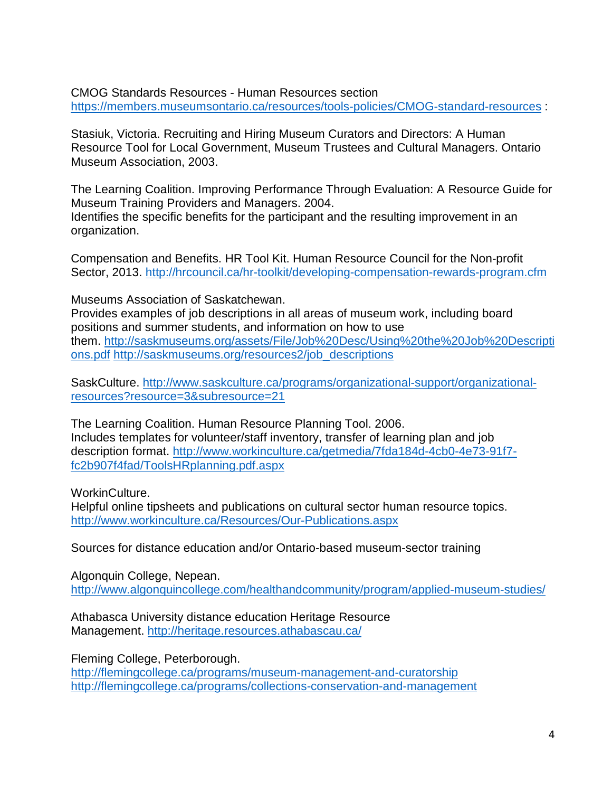CMOG Standards Resources - Human Resources section <https://members.museumsontario.ca/resources/tools-policies/CMOG-standard-resources> :

Stasiuk, Victoria. Recruiting and Hiring Museum Curators and Directors: A Human Resource Tool for Local Government, Museum Trustees and Cultural Managers. Ontario Museum Association, 2003.

The Learning Coalition. Improving Performance Through Evaluation: A Resource Guide for Museum Training Providers and Managers. 2004.

Identifies the specific benefits for the participant and the resulting improvement in an organization.

Compensation and Benefits. HR Tool Kit. Human Resource Council for the Non-profit Sector, 2013.<http://hrcouncil.ca/hr-toolkit/developing-compensation-rewards-program.cfm>

Museums Association of Saskatchewan.

Provides examples of job descriptions in all areas of museum work, including board positions and summer students, and information on how to use them. [http://saskmuseums.org/assets/File/Job%20Desc/Using%20the%20Job%20Descripti](http://saskmuseums.org/assets/File/Job%20Desc/Using%20the%20Job%20Descriptions.pdf) [ons.pdf](http://saskmuseums.org/assets/File/Job%20Desc/Using%20the%20Job%20Descriptions.pdf) [http://saskmuseums.org/resources2/job\\_descriptions](http://saskmuseums.org/resources2/job_descriptions)

SaskCulture. [http://www.saskculture.ca/programs/organizational-support/organizational](http://www.saskculture.ca/programs/organizational-support/organizational-resources?resource=3&subresource=21)[resources?resource=3&subresource=21](http://www.saskculture.ca/programs/organizational-support/organizational-resources?resource=3&subresource=21)

The Learning Coalition. Human Resource Planning Tool. 2006. Includes templates for volunteer/staff inventory, transfer of learning plan and job description format. [http://www.workinculture.ca/getmedia/7fda184d-4cb0-4e73-91f7](http://www.workinculture.ca/getmedia/7fda184d-4cb0-4e73-91f7-fc2b907f4fad/ToolsHRplanning.pdf.aspx) [fc2b907f4fad/ToolsHRplanning.pdf.aspx](http://www.workinculture.ca/getmedia/7fda184d-4cb0-4e73-91f7-fc2b907f4fad/ToolsHRplanning.pdf.aspx)

WorkinCulture.

Helpful online tipsheets and publications on cultural sector human resource topics. <http://www.workinculture.ca/Resources/Our-Publications.aspx>

Sources for distance education and/or Ontario-based museum-sector training

Algonquin College, Nepean. <http://www.algonquincollege.com/healthandcommunity/program/applied-museum-studies/>

Athabasca University distance education Heritage Resource Management.<http://heritage.resources.athabascau.ca/>

Fleming College, Peterborough. <http://flemingcollege.ca/programs/museum-management-and-curatorship> <http://flemingcollege.ca/programs/collections-conservation-and-management>